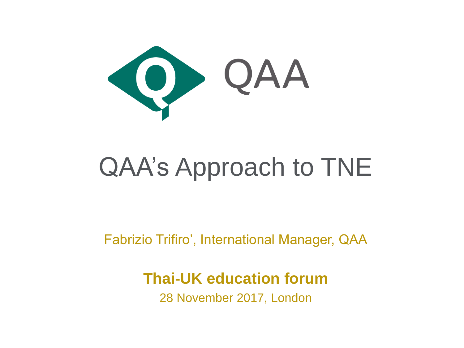

### QAA's Approach to TNE

Fabrizio Trifiro', International Manager, QAA

#### **Thai-UK education forum**

28 November 2017, London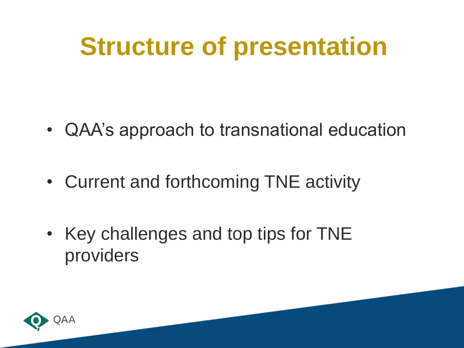### **Structure of presentation**

- QAA's approach to transnational education
- Current and forthcoming TNE activity
- Key challenges and top tips for TNE providers

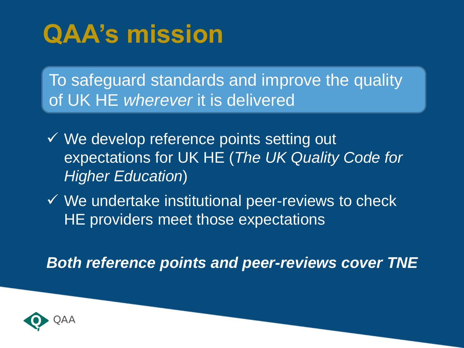### **QAA's mission**

To safeguard standards and improve the quality of UK HE *wherever* it is delivered

- $\checkmark$  We develop reference points setting out expectations for UK HE (*The UK Quality Code for Higher Education*)
- $\checkmark$  We undertake institutional peer-reviews to check HE providers meet those expectations

*Both reference points and peer-reviews cover TNE*

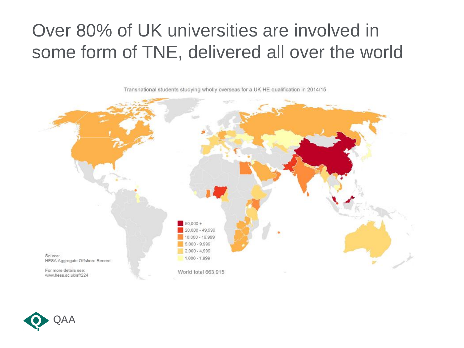#### Over 80% of UK universities are involved in some form of TNE, delivered all over the world

 $50,000 +$ 20,000 - 49,999  $000 - 19.999$  $5.000 - 9.999$  $2.000 - 4.999$ Source: 1,000 - 1,999 HESA Aggregate Offshore Record For more details see: World total 663,915 www.hesa.ac.uk/sfr224

Transnational students studying wholly overseas for a UK HE qualification in 2014/15

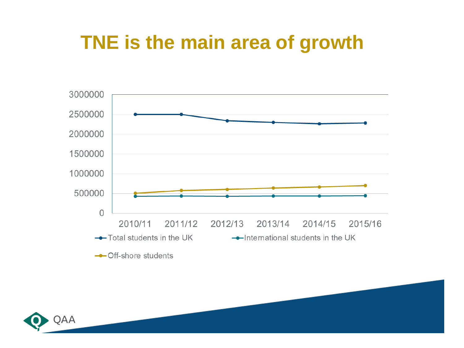#### **TNE is the main area of growth**



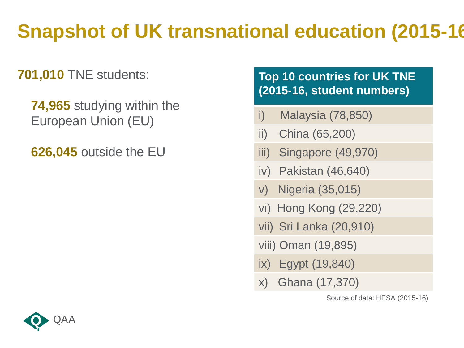### **Snapshot of UK transnational education (2015-16)**

**701,010** TNE students:

**74,965** studying within the European Union (EU)

**626,045** outside the EU

#### **Top 10 countries for UK TNE (2015-16, student numbers)**

- i) Malaysia (78,850)
- ii) China (65,200)
- iii) Singapore (49,970)
- iv) Pakistan (46,640)
- v) Nigeria (35,015)
- vi) Hong Kong (29,220)
- vii) Sri Lanka (20,910)
- viii) Oman (19,895)
- ix) Egypt (19,840)
- x) Ghana (17,370)

Source of data: HESA (2015-16)

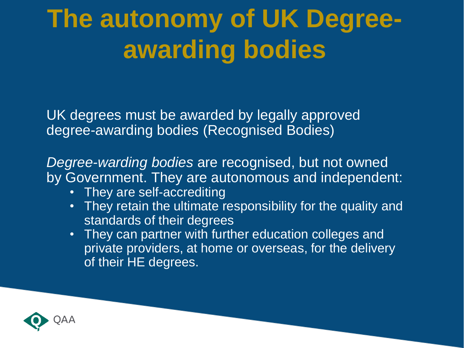### **The autonomy of UK Degreeawarding bodies**

UK degrees must be awarded by legally approved degree-awarding bodies (Recognised Bodies)

*Degree-warding bodies* are recognised, but not owned by Government. They are autonomous and independent:

- They are self-accrediting
- They retain the ultimate responsibility for the quality and standards of their degrees
- They can partner with further education colleges and private providers, at home or overseas, for the delivery of their HE degrees.

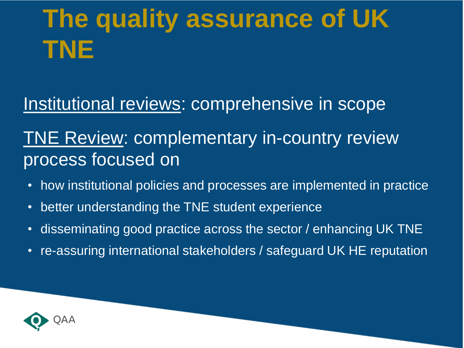### **The quality assurance of UK TNE**

Institutional reviews: comprehensive in scope

#### TNE Review: complementary in-country review process focused on

- how institutional policies and processes are implemented in practice
- better understanding the TNE student experience
- disseminating good practice across the sector / enhancing UK TNE
- re-assuring international stakeholders / safeguard UK HE reputation

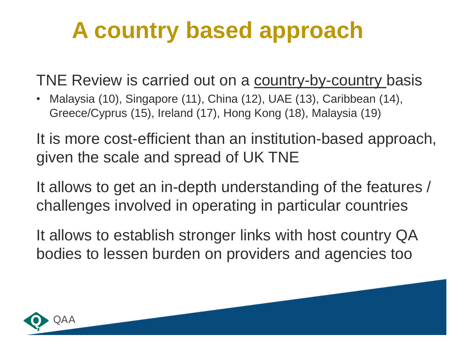### **A country based approach**

TNE Review is carried out on a country-by-country basis

• Malaysia (10), Singapore (11), China (12), UAE (13), Caribbean (14), Greece/Cyprus (15), Ireland (17), Hong Kong (18), Malaysia (19)

It is more cost-efficient than an institution-based approach, given the scale and spread of UK TNE

It allows to get an in-depth understanding of the features / challenges involved in operating in particular countries

It allows to establish stronger links with host country QA bodies to lessen burden on providers and agencies too

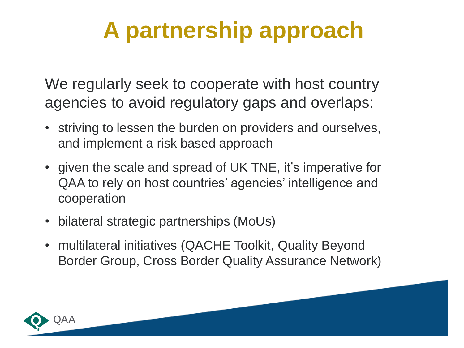### **A partnership approach**

We regularly seek to cooperate with host country agencies to avoid regulatory gaps and overlaps:

- striving to lessen the burden on providers and ourselves, and implement a risk based approach
- given the scale and spread of UK TNE, it's imperative for QAA to rely on host countries' agencies' intelligence and cooperation
- bilateral strategic partnerships (MoUs)
- multilateral initiatives (QACHE Toolkit, Quality Beyond Border Group, Cross Border Quality Assurance Network)

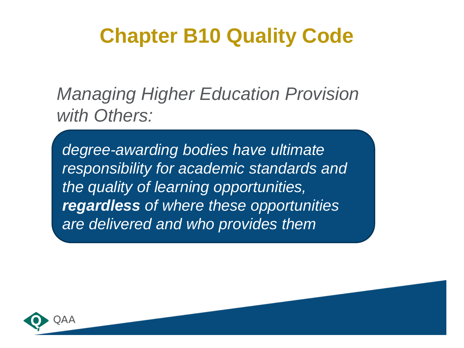### **Chapter B10 Quality Code**

*Managing Higher Education Provision with Others:* 

*degree-awarding bodies have ultimate responsibility for academic standards and the quality of learning opportunities, regardless of where these opportunities are delivered and who provides them*

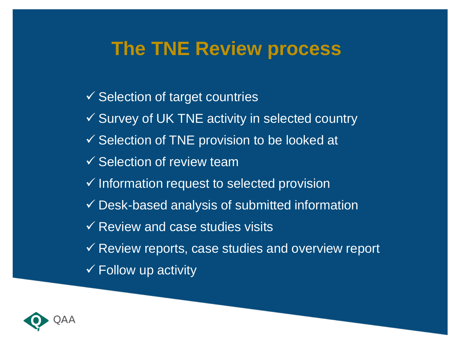#### **The TNE Review process**

 $\checkmark$  Selection of target countries  $\checkmark$  Survey of UK TNE activity in selected country  $\checkmark$  Selection of TNE provision to be looked at  $\checkmark$  Selection of review team  $\checkmark$  Information request to selected provision  $\checkmark$  Desk-based analysis of submitted information  $\checkmark$  Review and case studies visits  $\checkmark$  Review reports, case studies and overview report  $\checkmark$  Follow up activity

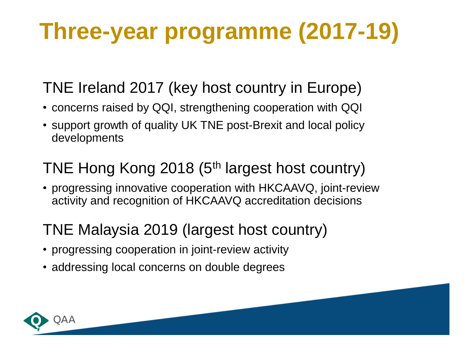### **Three-year programme (2017-19)**

#### TNE Ireland 2017 (key host country in Europe)

- concerns raised by QQI, strengthening cooperation with QQI
- support growth of quality UK TNE post-Brexit and local policy developments

#### TNE Hong Kong 2018 (5<sup>th</sup> largest host country)

• progressing innovative cooperation with HKCAAVQ, joint-review activity and recognition of HKCAAVQ accreditation decisions

#### TNE Malaysia 2019 (largest host country)

- progressing cooperation in joint-review activity
- addressing local concerns on double degrees

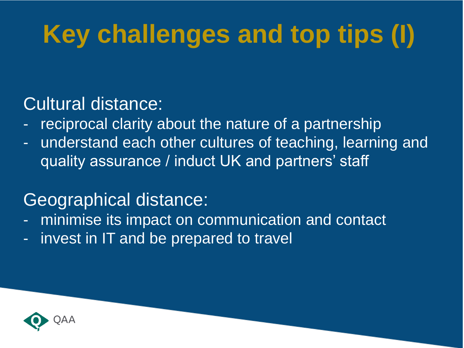# **Key challenges and top tips (I)**

#### Cultural distance:

- reciprocal clarity about the nature of a partnership
- understand each other cultures of teaching, learning and quality assurance / induct UK and partners' staff

#### Geographical distance:

- minimise its impact on communication and contact
- invest in IT and be prepared to travel

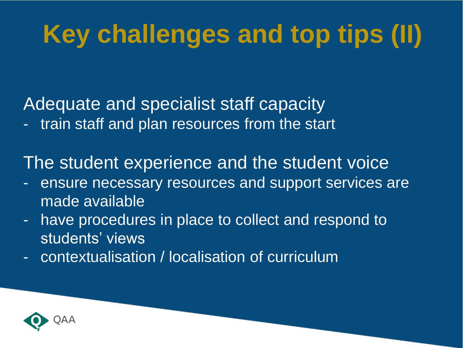### **Key challenges and top tips (II)**

Adequate and specialist staff capacity

- train staff and plan resources from the start

The student experience and the student voice

- ensure necessary resources and support services are made available
- have procedures in place to collect and respond to students' views
- contextualisation / localisation of curriculum

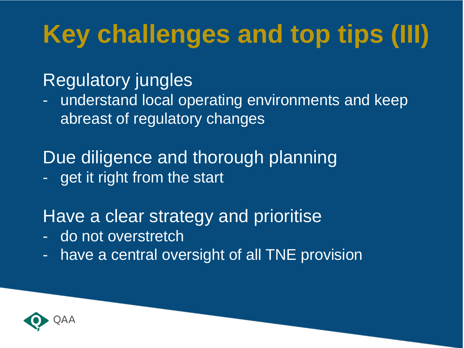# **Key challenges and top tips (III)**

#### Regulatory jungles

- understand local operating environments and keep abreast of regulatory changes

Due diligence and thorough planning - get it right from the start

#### Have a clear strategy and prioritise

- do not overstretch
- have a central oversight of all TNE provision